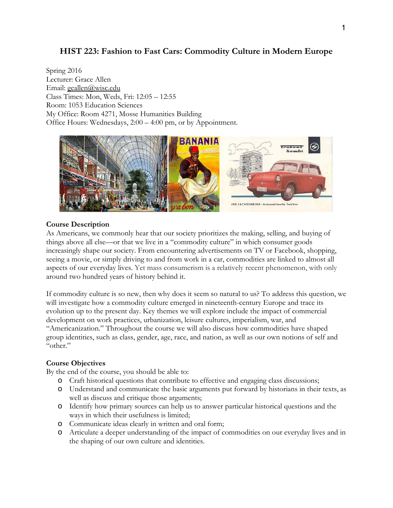# **HIST 223: Fashion to Fast Cars: Commodity Culture in Modern Europe**

Spring 2016 Lecturer: Grace Allen Email: geallen@wisc.edu Class Times: Mon, Weds, Fri: 12:05 – 12:55 Room: 1053 Education Sciences My Office: Room 4271, Mosse Humanities Building Office Hours: Wednesdays, 2:00 – 4:00 pm, or by Appointment.



#### **Course Description**

As Americans, we commonly hear that our society prioritizes the making, selling, and buying of things above all else—or that we live in a "commodity culture" in which consumer goods increasingly shape our society. From encountering advertisements on TV or Facebook, shopping, seeing a movie, or simply driving to and from work in a car, commodities are linked to almost all aspects of our everyday lives. Yet mass consumerism is a relatively recent phenomenon, with only around two hundred years of history behind it.

If commodity culture is so new, then why does it seem so natural to us? To address this question, we will investigate how a commodity culture emerged in nineteenth-century Europe and trace its evolution up to the present day. Key themes we will explore include the impact of commercial development on work practices, urbanization, leisure cultures, imperialism, war, and "Americanization." Throughout the course we will also discuss how commodities have shaped group identities, such as class, gender, age, race, and nation, as well as our own notions of self and "other."

### **Course Objectives**

By the end of the course, you should be able to:

- o Craft historical questions that contribute to effective and engaging class discussions;
- o Understand and communicate the basic arguments put forward by historians in their texts, as well as discuss and critique those arguments;
- o Identify how primary sources can help us to answer particular historical questions and the ways in which their usefulness is limited;
- o Communicate ideas clearly in written and oral form;
- o Articulate a deeper understanding of the impact of commodities on our everyday lives and in the shaping of our own culture and identities.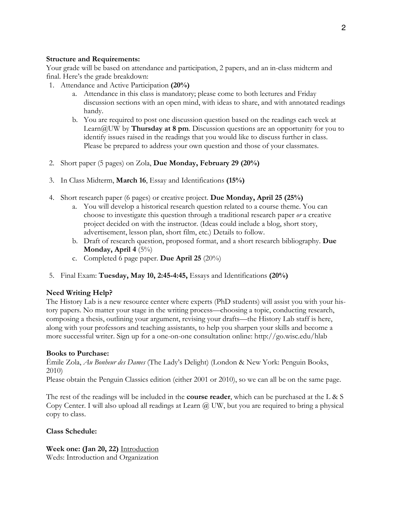### **Structure and Requirements:**

Your grade will be based on attendance and participation, 2 papers, and an in-class midterm and final. Here's the grade breakdown:

- 1. Attendance and Active Participation **(20%)** 
	- a. Attendance in this class is mandatory; please come to both lectures and Friday discussion sections with an open mind, with ideas to share, and with annotated readings handy.
	- b. You are required to post one discussion question based on the readings each week at Learn@UW by **Thursday at 8 pm**. Discussion questions are an opportunity for you to identify issues raised in the readings that you would like to discuss further in class. Please be prepared to address your own question and those of your classmates.
- 2. Short paper (5 pages) on Zola, **Due Monday, February 29 (20%)**
- 3. In Class Midterm, **March 16**, Essay and Identifications **(15%)**
- 4. Short research paper (6 pages) or creative project. **Due Monday, April 25 (25%)** 
	- a. You will develop a historical research question related to a course theme. You can choose to investigate this question through a traditional research paper *or* a creative project decided on with the instructor. (Ideas could include a blog, short story, advertisement, lesson plan, short film, etc.) Details to follow.
	- b. Draft of research question, proposed format, and a short research bibliography. **Due Monday, April 4** (5%)
	- c. Completed 6 page paper. **Due April 25** (20%)
- 5. Final Exam: **Tuesday, May 10, 2:45-4:45,** Essays and Identifications **(20%)**

### **Need Writing Help?**

The History Lab is a new resource center where experts (PhD students) will assist you with your history papers. No matter your stage in the writing process—choosing a topic, conducting research, composing a thesis, outlining your argument, revising your drafts—the History Lab staff is here, along with your professors and teaching assistants, to help you sharpen your skills and become a more successful writer. Sign up for a one-on-one consultation online: http://go.wisc.edu/hlab

### **Books to Purchase:**

Émile Zola, *Au Bonheur des Dames* (The Lady's Delight) (London & New York: Penguin Books, 2010)

Please obtain the Penguin Classics edition (either 2001 or 2010), so we can all be on the same page.

The rest of the readings will be included in the **course reader**, which can be purchased at the L & S Copy Center. I will also upload all readings at Learn @ UW, but you are required to bring a physical copy to class.

### **Class Schedule:**

**Week one: (Jan 20, 22)** Introduction Weds: Introduction and Organization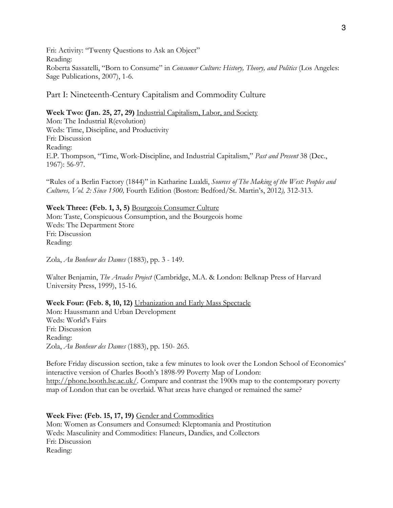Fri: Activity: "Twenty Questions to Ask an Object" Reading: Roberta Sassatelli, "Born to Consume" in *Consumer Culture: History, Theory, and Politics* (Los Angeles: Sage Publications, 2007), 1-6.

Part I: Nineteenth-Century Capitalism and Commodity Culture

## **Week Two: (Jan. 25, 27, 29)** Industrial Capitalism, Labor, and Society

Mon: The Industrial R(evolution) Weds: Time, Discipline, and Productivity Fri: Discussion Reading: E.P. Thompson, "Time, Work-Discipline, and Industrial Capitalism," *Past and Present* 38 (Dec., 1967): 56-97.

"Rules of a Berlin Factory (1844)" in Katharine Lualdi, *Sources of The Making of the West: Peoples and Cultures, Vol. 2: Since 1500,* Fourth Edition (Boston: Bedford/St. Martin's, 2012*),* 312-313.

### **Week Three: (Feb. 1, 3, 5)** Bourgeois Consumer Culture

Mon: Taste, Conspicuous Consumption, and the Bourgeois home Weds: The Department Store Fri: Discussion Reading:

Zola, *Au Bonheur des Dames* (1883), pp. 3 - 149.

Walter Benjamin, *The Arcades Project* (Cambridge, M.A. & London: Belknap Press of Harvard University Press, 1999), 15-16.

### **Week Four: (Feb. 8, 10, 12)** Urbanization and Early Mass Spectacle

Mon: Haussmann and Urban Development Weds: World's Fairs Fri: Discussion Reading: Zola, *Au Bonheur des Dames* (1883), pp. 150- 265.

Before Friday discussion section, take a few minutes to look over the London School of Economics' interactive version of Charles Booth's 1898-99 Poverty Map of London: http://phone.booth.lse.ac.uk/. Compare and contrast the 1900s map to the contemporary poverty map of London that can be overlaid. What areas have changed or remained the same?

### **Week Five: (Feb. 15, 17, 19)** Gender and Commodities

Mon: Women as Consumers and Consumed: Kleptomania and Prostitution Weds: Masculinity and Commodities: Flaneurs, Dandies, and Collectors Fri: Discussion Reading: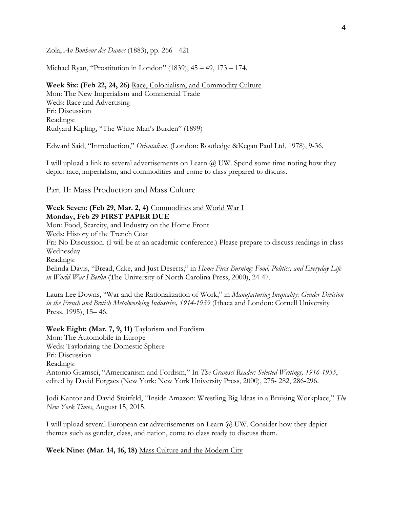Zola, *Au Bonheur des Dames* (1883), pp. 266 - 421

Michael Ryan, "Prostitution in London" (1839), 45 – 49, 173 – 174.

**Week Six: (Feb 22, 24, 26)** Race, Colonialism, and Commodity Culture Mon: The New Imperialism and Commercial Trade Weds: Race and Advertising Fri: Discussion Readings: Rudyard Kipling, "The White Man's Burden" (1899)

Edward Said, "Introduction," *Orientalism*, (London: Routledge &Kegan Paul Ltd, 1978), 9-36.

I will upload a link to several advertisements on Learn  $\omega$  UW. Spend some time noting how they depict race, imperialism, and commodities and come to class prepared to discuss.

Part II: Mass Production and Mass Culture

#### **Week Seven: (Feb 29, Mar. 2, 4)** Commodities and World War I **Monday, Feb 29 FIRST PAPER DUE**

Mon: Food, Scarcity, and Industry on the Home Front Weds: History of the Trench Coat Fri: No Discussion. (I will be at an academic conference.) Please prepare to discuss readings in class Wednesday. Readings: Belinda Davis, "Bread, Cake, and Just Deserts," in *Home Fires Burning: Food, Politics, and Everyday Life in World War I Berlin* (The University of North Carolina Press, 2000), 24-47.

Laura Lee Downs, "War and the Rationalization of Work," in *Manufacturing Inequality: Gender Division in the French and British Metalworking Industries, 1914-1939* (Ithaca and London: Cornell University Press, 1995), 15– 46.

**Week Eight: (Mar. 7, 9, 11)** Taylorism and Fordism Mon: The Automobile in Europe Weds: Taylorizing the Domestic Sphere Fri: Discussion Readings: Antonio Gramsci, "Americanism and Fordism," In *The Gramsci Reader: Selected Writings, 1916-1935*, edited by David Forgacs (New York: New York University Press, 2000), 275- 282, 286-296.

Jodi Kantor and David Steitfeld, "Inside Amazon: Wrestling Big Ideas in a Bruising Workplace," *The New York Times*, August 15, 2015.

I will upload several European car advertisements on Learn  $(a)$  UW. Consider how they depict themes such as gender, class, and nation, come to class ready to discuss them.

**Week Nine: (Mar. 14, 16, 18)** Mass Culture and the Modern City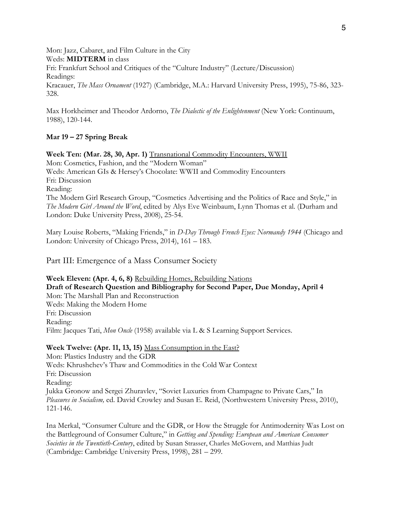Mon: Jazz, Cabaret, and Film Culture in the City Weds: **MIDTERM** in class Fri: Frankfurt School and Critiques of the "Culture Industry" (Lecture/Discussion) Readings: Kracauer, *The Mass Ornament* (1927) (Cambridge, M.A.: Harvard University Press, 1995), 75-86, 323- 328.

Max Horkheimer and Theodor Ardorno, *The Dialectic of the Enlightenment* (New York: Continuum, 1988), 120-144.

### **Mar 19 – 27 Spring Break**

**Week Ten: (Mar. 28, 30, Apr. 1)** Transnational Commodity Encounters, WWII Mon: Cosmetics, Fashion, and the "Modern Woman" Weds: American GIs & Hersey's Chocolate: WWII and Commodity Encounters Fri: Discussion Reading: The Modern Girl Research Group, "Cosmetics Advertising and the Politics of Race and Style," in *The Modern Girl Around the Word*, edited by Alys Eve Weinbaum, Lynn Thomas et al. (Durham and London: Duke University Press, 2008), 25-54.

Mary Louise Roberts, "Making Friends," in *D-Day Through French Eyes: Normandy 1944* (Chicago and London: University of Chicago Press, 2014), 161 – 183.

Part III: Emergence of a Mass Consumer Society

**Week Eleven: (Apr. 4, 6, 8)** Rebuilding Homes, Rebuilding Nations **Draft of Research Question and Bibliography for Second Paper, Due Monday, April 4**  Mon: The Marshall Plan and Reconstruction Weds: Making the Modern Home Fri: Discussion Reading: Film: Jacques Tati, *Mon Oncle* (1958) available via L & S Learning Support Services.

#### **Week Twelve: (Apr. 11, 13, 15)** Mass Consumption in the East?

Mon: Plastics Industry and the GDR Weds: Khrushchev's Thaw and Commodities in the Cold War Context Fri: Discussion Reading: Jukka Gronow and Sergei Zhuravlev, "Soviet Luxuries from Champagne to Private Cars," In *Pleasures in Socialism,* ed. David Crowley and Susan E. Reid, (Northwestern University Press, 2010), 121-146.

Ina Merkal, "Consumer Culture and the GDR, or How the Struggle for Antimodernity Was Lost on the Battleground of Consumer Culture," in *Getting and Spending: European and American Consumer Societies in the Twentieth-Century*, edited by Susan Strasser, Charles McGovern, and Matthias Judt (Cambridge: Cambridge University Press, 1998), 281 – 299.